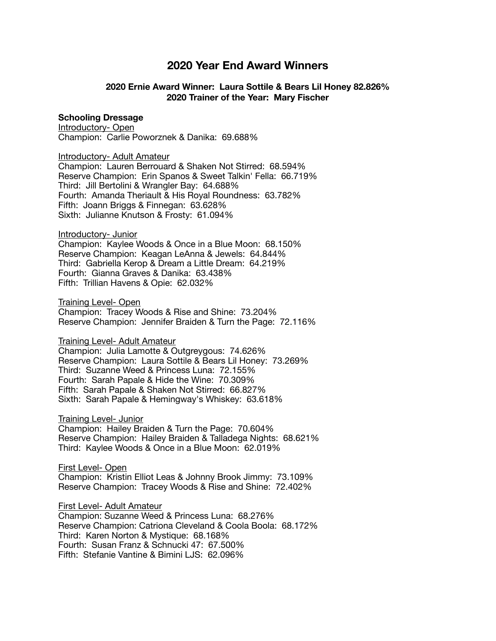# **2020 Year End Award Winners**

## **2020 Ernie Award Winner: Laura Sottile & Bears Lil Honey 82.826% 2020 Trainer of the Year: Mary Fischer**

### **Schooling Dressage**

Introductory- Open Champion: Carlie Poworznek & Danika: 69.688%

Introductory- Adult Amateur

Champion: Lauren Berrouard & Shaken Not Stirred: 68.594% Reserve Champion: Erin Spanos & Sweet Talkin' Fella: 66.719% Third: Jill Bertolini & Wrangler Bay: 64.688% Fourth: Amanda Theriault & His Royal Roundness: 63.782% Fifth: Joann Briggs & Finnegan: 63.628% Sixth: Julianne Knutson & Frosty: 61.094%

#### Introductory- Junior

Champion: Kaylee Woods & Once in a Blue Moon: 68.150% Reserve Champion: Keagan LeAnna & Jewels: 64.844% Third: Gabriella Kerop & Dream a Little Dream: 64.219% Fourth: Gianna Graves & Danika: 63.438% Fifth: Trillian Havens & Opie: 62.032%

Training Level- Open

Champion: Tracey Woods & Rise and Shine: 73.204% Reserve Champion: Jennifer Braiden & Turn the Page: 72.116%

#### Training Level- Adult Amateur

Champion: Julia Lamotte & Outgreygous: 74.626% Reserve Champion: Laura Sottile & Bears Lil Honey: 73.269% Third: Suzanne Weed & Princess Luna: 72.155% Fourth: Sarah Papale & Hide the Wine: 70.309% Fifth: Sarah Papale & Shaken Not Stirred: 66.827% Sixth: Sarah Papale & Hemingway's Whiskey: 63.618%

Training Level- Junior

Champion: Hailey Braiden & Turn the Page: 70.604% Reserve Champion: Hailey Braiden & Talladega Nights: 68.621% Third: Kaylee Woods & Once in a Blue Moon: 62.019%

First Level- Open

Champion: Kristin Elliot Leas & Johnny Brook Jimmy: 73.109% Reserve Champion: Tracey Woods & Rise and Shine: 72.402%

First Level- Adult Amateur Champion: Suzanne Weed & Princess Luna: 68.276% Reserve Champion: Catriona Cleveland & Coola Boola: 68.172% Third: Karen Norton & Mystique: 68.168% Fourth: Susan Franz & Schnucki 47: 67.500% Fifth: Stefanie Vantine & Bimini LJS: 62.096%